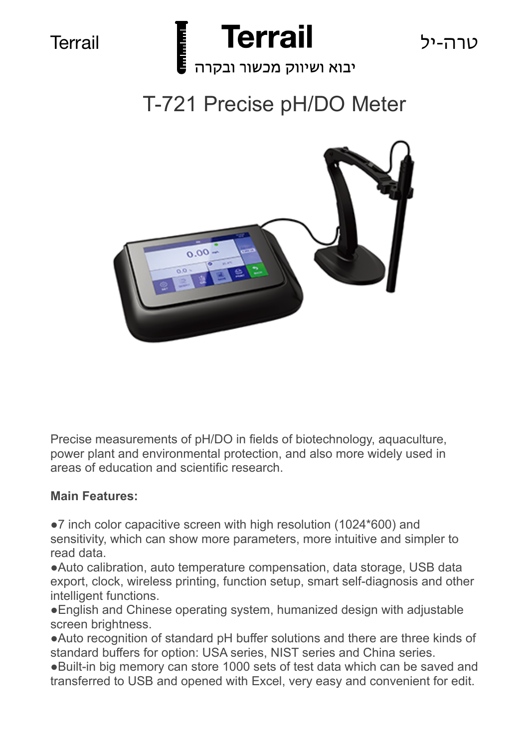



יבוא ושיווק מכשור ובקרה

# T-721 Precise pH/DO Meter



Precise measurements of pH/DO in fields of biotechnology, aquaculture, power plant and environmental protection, and also more widely used in areas of education and scientific research.

### **Main Features:**

●7 inch color capacitive screen with high resolution (1024\*600) and sensitivity, which can show more parameters, more intuitive and simpler to read data.

●Auto calibration, auto temperature compensation, data storage, USB data export, clock, wireless printing, function setup, smart self-diagnosis and other intelligent functions.

●English and Chinese operating system, humanized design with adjustable screen brightness.

●Auto recognition of standard pH buffer solutions and there are three kinds of standard buffers for option: USA series, NIST series and China series.

●Built-in big memory can store 1000 sets of test data which can be saved and transferred to USB and opened with Excel, very easy and convenient for edit.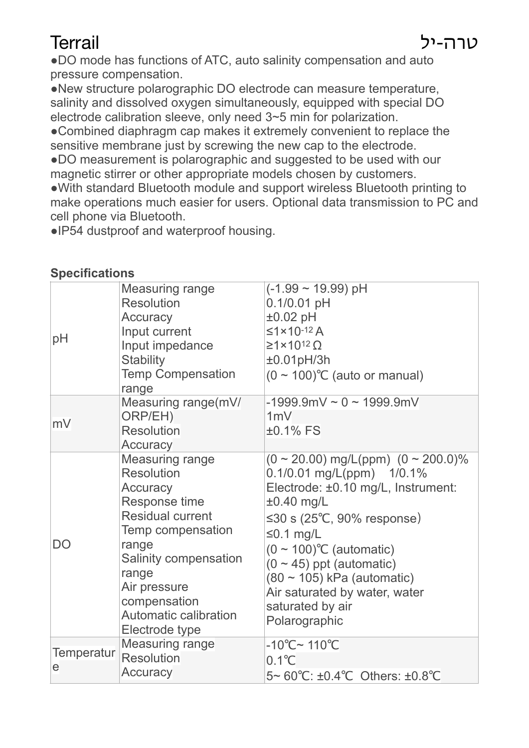●DO mode has functions of ATC, auto salinity compensation and auto pressure compensation.

●New structure polarographic DO electrode can measure temperature, salinity and dissolved oxygen simultaneously, equipped with special DO electrode calibration sleeve, only need 3~5 min for polarization.

●Combined diaphragm cap makes it extremely convenient to replace the sensitive membrane just by screwing the new cap to the electrode.

●DO measurement is polarographic and suggested to be used with our magnetic stirrer or other appropriate models chosen by customers.

●With standard Bluetooth module and support wireless Bluetooth printing to make operations much easier for users. Optional data transmission to PC and cell phone via Bluetooth.

●IP54 dustproof and waterproof housing.

### **Specifications**

| pH                     | Measuring range<br><b>Resolution</b><br>Accuracy<br>Input current<br>Input impedance<br><b>Stability</b><br><b>Temp Compensation</b><br>range                                                                                                  | $(-1.99 \sim 19.99)$ pH<br>$0.1/0.01$ pH<br>$\pm 0.02$ pH<br>$≤1×10-12 A$<br>$\geq 1 \times 10^{12} \Omega$<br>±0.01pH/3h<br>$(0 \sim 100)$ °C (auto or manual)                                                                                                                                                                                                     |
|------------------------|------------------------------------------------------------------------------------------------------------------------------------------------------------------------------------------------------------------------------------------------|---------------------------------------------------------------------------------------------------------------------------------------------------------------------------------------------------------------------------------------------------------------------------------------------------------------------------------------------------------------------|
| mV                     | Measuring range(mV/<br>ORP/EH)<br><b>Resolution</b><br>Accuracy                                                                                                                                                                                | $-1999.9$ mV ~ 0 ~ 1999.9mV<br>1mV<br>$±0.1\%$ FS                                                                                                                                                                                                                                                                                                                   |
| <b>DO</b>              | <b>Measuring range</b><br><b>Resolution</b><br>Accuracy<br>Response time<br><b>Residual current</b><br>Temp compensation<br>range<br>Salinity compensation<br>range<br>Air pressure<br>compensation<br>Automatic calibration<br>Electrode type | $(0 \sim 20.00)$ mg/L(ppm) $(0 \sim 200.0)\%$<br>0.1/0.01 mg/L(ppm) 1/0.1%<br>Electrode: ±0.10 mg/L, Instrument:<br>$\pm 0.40$ mg/L<br>≤30 s (25 $°C$ , 90% response)<br>$\leq 0.1$ mg/L<br>$(0 \sim 100)$ °C (automatic)<br>$(0 \sim 45)$ ppt (automatic)<br>$(80 \sim 105)$ kPa (automatic)<br>Air saturated by water, water<br>saturated by air<br>Polarographic |
| <b>Temperatur</b><br>e | <b>Measuring range</b><br><b>Resolution</b><br>Accuracy                                                                                                                                                                                        | $-10^{\circ}$ C~ 110 $^{\circ}$ C<br>$0.1^{\circ}$ C<br>5~ 60°C: ±0.4°C Others: ±0.8°C                                                                                                                                                                                                                                                                              |